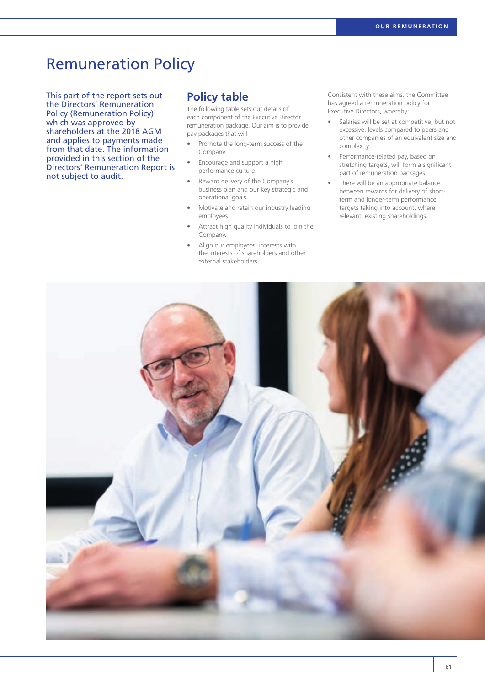# Remuneration Policy

This part of the report sets out the Directors' Remuneration Policy (Remuneration Policy) which was approved by shareholders at the 2018 AGM and applies to payments made from that date. The information provided in this section of the Directors' Remuneration Report is not subject to audit.

### **Policy table**

The following table sets out details of each component of the Executive Director remuneration package. Our aim is to provide pay packages that will:

- Promote the long-term success of the Company.
- Encourage and support a high performance culture.
- Reward delivery of the Company's business plan and our key strategic and operational goals.
- Motivate and retain our industry leading employees.
- Attract high quality individuals to join the Company.
- Align our employees' interests with the interests of shareholders and other external stakeholders.

Consistent with these aims, the Committee has agreed a remuneration policy for Executive Directors, whereby:

- Salaries will be set at competitive, but not excessive, levels compared to peers and other companies of an equivalent size and complexity.
- Performance-related pay, based on stretching targets, will form a significant part of remuneration packages.
- There will be an appropriate balance between rewards for delivery of shortterm and longer-term performance targets taking into account, where relevant, existing shareholdings.

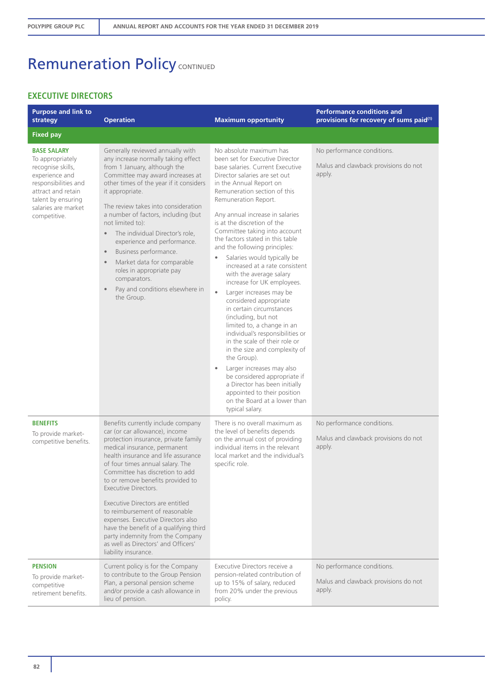### **EXECUTIVE DIRECTORS**

| <b>Purpose and link to</b><br>strategy                                                                                                                                                   | <b>Operation</b>                                                                                                                                                                                                                                                                                                                                                                                                                                                                                                                                                                 | <b>Maximum opportunity</b>                                                                                                                                                                                                                                                                                                                                                                                                                                                                                                                                                                                                                                                                                                                                                                                                                                                                                                                                                                             | <b>Performance conditions and</b><br>provisions for recovery of sums paid <sup>(1)</sup> |
|------------------------------------------------------------------------------------------------------------------------------------------------------------------------------------------|----------------------------------------------------------------------------------------------------------------------------------------------------------------------------------------------------------------------------------------------------------------------------------------------------------------------------------------------------------------------------------------------------------------------------------------------------------------------------------------------------------------------------------------------------------------------------------|--------------------------------------------------------------------------------------------------------------------------------------------------------------------------------------------------------------------------------------------------------------------------------------------------------------------------------------------------------------------------------------------------------------------------------------------------------------------------------------------------------------------------------------------------------------------------------------------------------------------------------------------------------------------------------------------------------------------------------------------------------------------------------------------------------------------------------------------------------------------------------------------------------------------------------------------------------------------------------------------------------|------------------------------------------------------------------------------------------|
| <b>Fixed pay</b>                                                                                                                                                                         |                                                                                                                                                                                                                                                                                                                                                                                                                                                                                                                                                                                  |                                                                                                                                                                                                                                                                                                                                                                                                                                                                                                                                                                                                                                                                                                                                                                                                                                                                                                                                                                                                        |                                                                                          |
| <b>BASE SALARY</b><br>To appropriately<br>recognise skills,<br>experience and<br>responsibilities and<br>attract and retain<br>talent by ensuring<br>salaries are market<br>competitive. | Generally reviewed annually with<br>any increase normally taking effect<br>from 1 January, although the<br>Committee may award increases at<br>other times of the year if it considers<br>it appropriate.<br>The review takes into consideration<br>a number of factors, including (but<br>not limited to):<br>The individual Director's role,<br>$\bullet$<br>experience and performance.<br>Business performance.<br>$\bullet$<br>Market data for comparable<br>$\bullet$<br>roles in appropriate pay<br>comparators.<br>Pay and conditions elsewhere in<br>the Group.         | No absolute maximum has<br>been set for Executive Director<br>base salaries. Current Executive<br>Director salaries are set out<br>in the Annual Report on<br>Remuneration section of this<br>Remuneration Report.<br>Any annual increase in salaries<br>is at the discretion of the<br>Committee taking into account<br>the factors stated in this table<br>and the following principles:<br>Salaries would typically be<br>$\bullet$<br>increased at a rate consistent<br>with the average salary<br>increase for UK employees.<br>Larger increases may be<br>$\bullet$<br>considered appropriate<br>in certain circumstances<br>(including, but not<br>limited to, a change in an<br>individual's responsibilities or<br>in the scale of their role or<br>in the size and complexity of<br>the Group).<br>Larger increases may also<br>$\bullet$<br>be considered appropriate if<br>a Director has been initially<br>appointed to their position<br>on the Board at a lower than<br>typical salary. | No performance conditions.<br>Malus and clawback provisions do not<br>apply.             |
| <b>BENEFITS</b><br>To provide market-<br>competitive benefits.                                                                                                                           | Benefits currently include company<br>car (or car allowance), income<br>protection insurance, private family<br>medical insurance, permanent<br>health insurance and life assurance<br>of four times annual salary. The<br>Committee has discretion to add<br>to or remove benefits provided to<br>Executive Directors.<br>Executive Directors are entitled<br>to reimbursement of reasonable<br>expenses. Executive Directors also<br>have the benefit of a qualifying third<br>party indemnity from the Company<br>as well as Directors' and Officers'<br>liability insurance. | There is no overall maximum as<br>the level of benefits depends<br>on the annual cost of providing<br>individual items in the relevant<br>local market and the individual's<br>specific role.                                                                                                                                                                                                                                                                                                                                                                                                                                                                                                                                                                                                                                                                                                                                                                                                          | No performance conditions.<br>Malus and clawback provisions do not<br>apply.             |
| <b>PENSION</b><br>To provide market-<br>competitive<br>retirement benefits.                                                                                                              | Current policy is for the Company<br>to contribute to the Group Pension<br>Plan, a personal pension scheme<br>and/or provide a cash allowance in<br>lieu of pension.                                                                                                                                                                                                                                                                                                                                                                                                             | Executive Directors receive a<br>pension-related contribution of<br>up to 15% of salary, reduced<br>from 20% under the previous<br>policy.                                                                                                                                                                                                                                                                                                                                                                                                                                                                                                                                                                                                                                                                                                                                                                                                                                                             | No performance conditions.<br>Malus and clawback provisions do not<br>apply.             |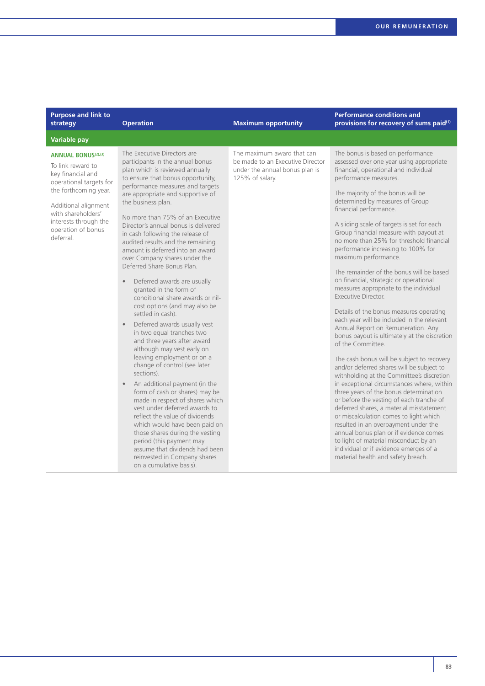| <b>Purpose and link to</b><br>strategy                                                                                                                                                                                             | <b>Operation</b>                                                                                                                                                                                                                                                                                                                                                                                                                                                                                                                                                                                                                                                                                                                                                                                                                                                                                                                                                                                                                                                                                                                                                                                                                                                     | <b>Maximum opportunity</b>                                                                                          | <b>Performance conditions and</b><br>provisions for recovery of sums paid <sup>(1)</sup>                                                                                                                                                                                                                                                                                                                                                                                                                                                                                                                                                                                                                                                                                                                                                                                                                                                                                                                                                                                                                                                                                                                                                                                                                                                                                                    |
|------------------------------------------------------------------------------------------------------------------------------------------------------------------------------------------------------------------------------------|----------------------------------------------------------------------------------------------------------------------------------------------------------------------------------------------------------------------------------------------------------------------------------------------------------------------------------------------------------------------------------------------------------------------------------------------------------------------------------------------------------------------------------------------------------------------------------------------------------------------------------------------------------------------------------------------------------------------------------------------------------------------------------------------------------------------------------------------------------------------------------------------------------------------------------------------------------------------------------------------------------------------------------------------------------------------------------------------------------------------------------------------------------------------------------------------------------------------------------------------------------------------|---------------------------------------------------------------------------------------------------------------------|---------------------------------------------------------------------------------------------------------------------------------------------------------------------------------------------------------------------------------------------------------------------------------------------------------------------------------------------------------------------------------------------------------------------------------------------------------------------------------------------------------------------------------------------------------------------------------------------------------------------------------------------------------------------------------------------------------------------------------------------------------------------------------------------------------------------------------------------------------------------------------------------------------------------------------------------------------------------------------------------------------------------------------------------------------------------------------------------------------------------------------------------------------------------------------------------------------------------------------------------------------------------------------------------------------------------------------------------------------------------------------------------|
| <b>Variable pay</b>                                                                                                                                                                                                                |                                                                                                                                                                                                                                                                                                                                                                                                                                                                                                                                                                                                                                                                                                                                                                                                                                                                                                                                                                                                                                                                                                                                                                                                                                                                      |                                                                                                                     |                                                                                                                                                                                                                                                                                                                                                                                                                                                                                                                                                                                                                                                                                                                                                                                                                                                                                                                                                                                                                                                                                                                                                                                                                                                                                                                                                                                             |
| <b>ANNUAL BONUS(2),(3)</b><br>To link reward to<br>key financial and<br>operational targets for<br>the forthcoming year.<br>Additional alignment<br>with shareholders'<br>interests through the<br>operation of bonus<br>deferral. | The Executive Directors are<br>participants in the annual bonus<br>plan which is reviewed annually<br>to ensure that bonus opportunity,<br>performance measures and targets<br>are appropriate and supportive of<br>the business plan.<br>No more than 75% of an Executive<br>Director's annual bonus is delivered<br>in cash following the release of<br>audited results and the remaining<br>amount is deferred into an award<br>over Company shares under the<br>Deferred Share Bonus Plan.<br>Deferred awards are usually<br>$\bullet$<br>granted in the form of<br>conditional share awards or nil-<br>cost options (and may also be<br>settled in cash).<br>Deferred awards usually vest<br>$\bullet$<br>in two equal tranches two<br>and three years after award<br>although may vest early on<br>leaving employment or on a<br>change of control (see later<br>sections).<br>An additional payment (in the<br>$\bullet$<br>form of cash or shares) may be<br>made in respect of shares which<br>vest under deferred awards to<br>reflect the value of dividends<br>which would have been paid on<br>those shares during the vesting<br>period (this payment may<br>assume that dividends had been<br>reinvested in Company shares<br>on a cumulative basis). | The maximum award that can<br>be made to an Executive Director<br>under the annual bonus plan is<br>125% of salary. | The bonus is based on performance<br>assessed over one year using appropriate<br>financial, operational and individual<br>performance measures.<br>The majority of the bonus will be<br>determined by measures of Group<br>financial performance.<br>A sliding scale of targets is set for each<br>Group financial measure with payout at<br>no more than 25% for threshold financial<br>performance increasing to 100% for<br>maximum performance.<br>The remainder of the bonus will be based<br>on financial, strategic or operational<br>measures appropriate to the individual<br>Executive Director.<br>Details of the bonus measures operating<br>each year will be included in the relevant<br>Annual Report on Remuneration. Any<br>bonus payout is ultimately at the discretion<br>of the Committee.<br>The cash bonus will be subject to recovery<br>and/or deferred shares will be subject to<br>withholding at the Committee's discretion<br>in exceptional circumstances where, within<br>three years of the bonus determination<br>or before the vesting of each tranche of<br>deferred shares, a material misstatement<br>or miscalculation comes to light which<br>resulted in an overpayment under the<br>annual bonus plan or if evidence comes<br>to light of material misconduct by an<br>individual or if evidence emerges of a<br>material health and safety breach. |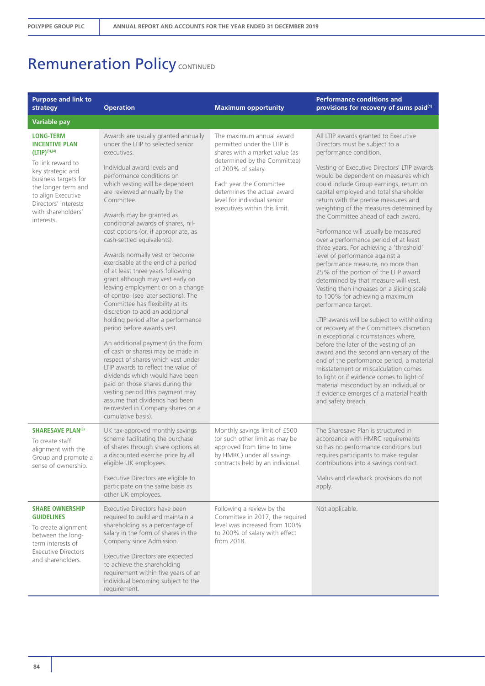| <b>Purpose and link to</b><br>strategy                                                                                                                                  | <b>Operation</b>                                                                                                                                                                                                                                                                                                                                                                                                                                                                                                                                                                                                                                                                                                                                                                                                                                                                                                                                                                                                          | <b>Maximum opportunity</b>                                                                                                                                                   | <b>Performance conditions and</b><br>provisions for recovery of sums paid <sup>(1)</sup>                                                                                                                                                                                                                                                                                                                                                                                                                                                                                                                                                                                                                                                                                                                                                                                                                                                                                                                                                                                                                                                                           |
|-------------------------------------------------------------------------------------------------------------------------------------------------------------------------|---------------------------------------------------------------------------------------------------------------------------------------------------------------------------------------------------------------------------------------------------------------------------------------------------------------------------------------------------------------------------------------------------------------------------------------------------------------------------------------------------------------------------------------------------------------------------------------------------------------------------------------------------------------------------------------------------------------------------------------------------------------------------------------------------------------------------------------------------------------------------------------------------------------------------------------------------------------------------------------------------------------------------|------------------------------------------------------------------------------------------------------------------------------------------------------------------------------|--------------------------------------------------------------------------------------------------------------------------------------------------------------------------------------------------------------------------------------------------------------------------------------------------------------------------------------------------------------------------------------------------------------------------------------------------------------------------------------------------------------------------------------------------------------------------------------------------------------------------------------------------------------------------------------------------------------------------------------------------------------------------------------------------------------------------------------------------------------------------------------------------------------------------------------------------------------------------------------------------------------------------------------------------------------------------------------------------------------------------------------------------------------------|
| Variable pay                                                                                                                                                            |                                                                                                                                                                                                                                                                                                                                                                                                                                                                                                                                                                                                                                                                                                                                                                                                                                                                                                                                                                                                                           |                                                                                                                                                                              |                                                                                                                                                                                                                                                                                                                                                                                                                                                                                                                                                                                                                                                                                                                                                                                                                                                                                                                                                                                                                                                                                                                                                                    |
| <b>LONG-TERM</b><br><b>INCENTIVE PLAN</b><br>$(LTIP)^{(3),(4)}$                                                                                                         | Awards are usually granted annually<br>under the LTIP to selected senior<br>executives.                                                                                                                                                                                                                                                                                                                                                                                                                                                                                                                                                                                                                                                                                                                                                                                                                                                                                                                                   | The maximum annual award<br>permitted under the LTIP is<br>shares with a market value (as                                                                                    | All LTIP awards granted to Executive<br>Directors must be subject to a<br>performance condition.                                                                                                                                                                                                                                                                                                                                                                                                                                                                                                                                                                                                                                                                                                                                                                                                                                                                                                                                                                                                                                                                   |
| To link reward to<br>key strategic and<br>business targets for<br>the longer term and<br>to align Executive<br>Directors' interests<br>with shareholders'<br>interests. | Individual award levels and<br>performance conditions on<br>which vesting will be dependent<br>are reviewed annually by the<br>Committee.<br>Awards may be granted as<br>conditional awards of shares, nil-<br>cost options (or, if appropriate, as<br>cash-settled equivalents).<br>Awards normally vest or become<br>exercisable at the end of a period<br>of at least three years following<br>grant although may vest early on<br>leaving employment or on a change<br>of control (see later sections). The<br>Committee has flexibility at its<br>discretion to add an additional<br>holding period after a performance<br>period before awards vest.<br>An additional payment (in the form<br>of cash or shares) may be made in<br>respect of shares which vest under<br>LTIP awards to reflect the value of<br>dividends which would have been<br>paid on those shares during the<br>vesting period (this payment may<br>assume that dividends had been<br>reinvested in Company shares on a<br>cumulative basis). | determined by the Committee)<br>of 200% of salary.<br>Each year the Committee<br>determines the actual award<br>level for individual senior<br>executives within this limit. | Vesting of Executive Directors' LTIP awards<br>would be dependent on measures which<br>could include Group earnings, return on<br>capital employed and total shareholder<br>return with the precise measures and<br>weighting of the measures determined by<br>the Committee ahead of each award.<br>Performance will usually be measured<br>over a performance period of at least<br>three years. For achieving a 'threshold'<br>level of performance against a<br>performance measure, no more than<br>25% of the portion of the LTIP award<br>determined by that measure will vest.<br>Vesting then increases on a sliding scale<br>to 100% for achieving a maximum<br>performance target.<br>LTIP awards will be subject to withholding<br>or recovery at the Committee's discretion<br>in exceptional circumstances where,<br>before the later of the vesting of an<br>award and the second anniversary of the<br>end of the performance period, a material<br>misstatement or miscalculation comes<br>to light or if evidence comes to light of<br>material misconduct by an individual or<br>if evidence emerges of a material health<br>and safety breach. |
| <b>SHARESAVE PLAN(3)</b><br>To create staff<br>alignment with the<br>Group and promote a<br>sense of ownership.                                                         | UK tax-approved monthly savings<br>scheme facilitating the purchase<br>of shares through share options at<br>a discounted exercise price by all<br>eligible UK employees.<br>Executive Directors are eligible to<br>participate on the same basis as                                                                                                                                                                                                                                                                                                                                                                                                                                                                                                                                                                                                                                                                                                                                                                      | Monthly savings limit of £500<br>(or such other limit as may be<br>approved from time to time<br>by HMRC) under all savings<br>contracts held by an individual.              | The Sharesave Plan is structured in<br>accordance with HMRC requirements<br>so has no performance conditions but<br>requires participants to make regular<br>contributions into a savings contract.<br>Malus and clawback provisions do not<br>apply.                                                                                                                                                                                                                                                                                                                                                                                                                                                                                                                                                                                                                                                                                                                                                                                                                                                                                                              |
| <b>SHARE OWNERSHIP</b><br><b>GUIDELINES</b><br>To create alignment<br>between the long-<br>term interests of<br><b>Executive Directors</b><br>and shareholders.         | other UK employees.<br>Executive Directors have been<br>required to build and maintain a<br>shareholding as a percentage of<br>salary in the form of shares in the<br>Company since Admission.<br>Executive Directors are expected<br>to achieve the shareholding<br>requirement within five years of an<br>individual becoming subject to the<br>requirement.                                                                                                                                                                                                                                                                                                                                                                                                                                                                                                                                                                                                                                                            | Following a review by the<br>Committee in 2017, the required<br>level was increased from 100%<br>to 200% of salary with effect<br>from 2018.                                 | Not applicable.                                                                                                                                                                                                                                                                                                                                                                                                                                                                                                                                                                                                                                                                                                                                                                                                                                                                                                                                                                                                                                                                                                                                                    |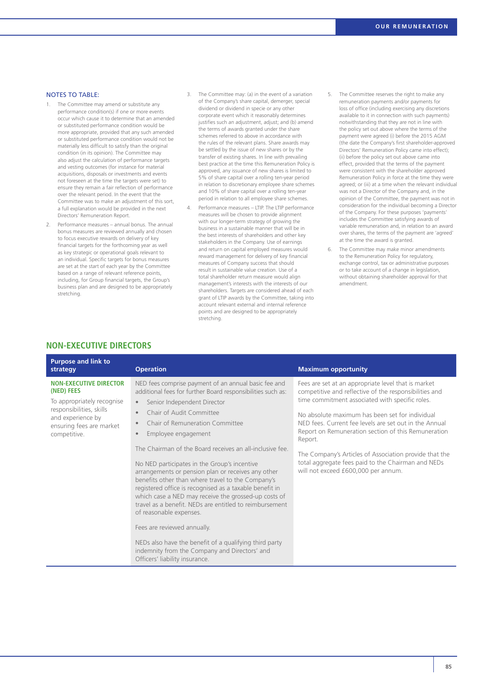#### NOTES TO TABLE:

- The Committee may amend or substitute any performance condition(s) if one or more events occur which cause it to determine that an amended or substituted performance condition would be more appropriate, provided that any such amended or substituted performance condition would not be materially less difficult to satisfy than the original condition (in its opinion). The Committee may also adjust the calculation of performance targets and vesting outcomes (for instance for material acquisitions, disposals or investments and events not foreseen at the time the targets were set) to ensure they remain a fair reflection of performance over the relevant period. In the event that the Committee was to make an adjustment of this sort, a full explanation would be provided in the next Directors' Remuneration Report.
- 2. Performance measures annual bonus. The annual bonus measures are reviewed annually and chosen to focus executive rewards on delivery of key financial targets for the forthcoming year as well as key strategic or operational goals relevant to an individual. Specific targets for bonus measures are set at the start of each year by the Committee based on a range of relevant reference points, including, for Group financial targets, the Group's business plan and are designed to be appropriately stretching.
- 3. The Committee may: (a) in the event of a variation of the Company's share capital, demerger, special dividend or dividend in specie or any other corporate event which it reasonably determines justifies such an adjustment, adjust; and (b) amend the terms of awards granted under the share schemes referred to above in accordance with the rules of the relevant plans. Share awards may be settled by the issue of new shares or by the transfer of existing shares. In line with prevailing best practice at the time this Remuneration Policy is approved, any issuance of new shares is limited to 5% of share capital over a rolling ten-year period in relation to discretionary employee share schemes and 10% of share capital over a rolling ten-year period in relation to all employee share schemes.
- 4. Performance measures LTIP. The LTIP performance measures will be chosen to provide alignment with our longer-term strategy of growing the business in a sustainable manner that will be in the best interests of shareholders and other key stakeholders in the Company. Use of earnings and return on capital employed measures would reward management for delivery of key financial measures of Company success that should result in sustainable value creation. Use of a total shareholder return measure would align management's interests with the interests of our shareholders. Targets are considered ahead of each grant of LTIP awards by the Committee, taking into account relevant external and internal reference points and are designed to be appropriately stretching.
- 5. The Committee reserves the right to make any remuneration payments and/or payments for loss of office (including exercising any discretions available to it in connection with such payments) notwithstanding that they are not in line with the policy set out above where the terms of the payment were agreed (i) before the 2015 AGM (the date the Company's first shareholder-approved Directors' Remuneration Policy came into effect); (ii) before the policy set out above came into effect, provided that the terms of the payment were consistent with the shareholder approved Remuneration Policy in force at the time they were agreed; or (iii) at a time when the relevant individual was not a Director of the Company and, in the opinion of the Committee, the payment was not in consideration for the individual becoming a Director of the Company. For these purposes 'payments' includes the Committee satisfying awards of variable remuneration and, in relation to an award over shares, the terms of the payment are 'agreed' at the time the award is granted.
- 6. The Committee may make minor amendments to the Remuneration Policy for regulatory, exchange control, tax or administrative purposes or to take account of a change in legislation, without obtaining shareholder approval for that amendment.

#### **NON-EXECUTIVE DIRECTORS**

| <b>Purpose and link to</b><br>strategy                                                                                                                                 | <b>Operation</b>                                                                                                                                                                                                                                                                                                                                                                                                                                                                                                                                                                                                                                                                                                                                                                                                                                                                            | <b>Maximum opportunity</b>                                                                                                                                                                                                                                                                                                                                                                                                                                                                             |
|------------------------------------------------------------------------------------------------------------------------------------------------------------------------|---------------------------------------------------------------------------------------------------------------------------------------------------------------------------------------------------------------------------------------------------------------------------------------------------------------------------------------------------------------------------------------------------------------------------------------------------------------------------------------------------------------------------------------------------------------------------------------------------------------------------------------------------------------------------------------------------------------------------------------------------------------------------------------------------------------------------------------------------------------------------------------------|--------------------------------------------------------------------------------------------------------------------------------------------------------------------------------------------------------------------------------------------------------------------------------------------------------------------------------------------------------------------------------------------------------------------------------------------------------------------------------------------------------|
| <b>NON-EXECUTIVE DIRECTOR</b><br>(NED) FEES<br>To appropriately recognise<br>responsibilities, skills<br>and experience by<br>ensuring fees are market<br>competitive. | NED fees comprise payment of an annual basic fee and<br>additional fees for further Board responsibilities such as:<br>Senior Independent Director<br>$\bullet$<br>Chair of Audit Committee<br>$\bullet$<br>Chair of Remuneration Committee<br>Employee engagement<br>$\bullet$<br>The Chairman of the Board receives an all-inclusive fee.<br>No NED participates in the Group's incentive<br>arrangements or pension plan or receives any other<br>benefits other than where travel to the Company's<br>registered office is recognised as a taxable benefit in<br>which case a NED may receive the grossed-up costs of<br>travel as a benefit. NEDs are entitled to reimbursement<br>of reasonable expenses.<br>Fees are reviewed annually.<br>NEDs also have the benefit of a qualifying third party<br>indemnity from the Company and Directors' and<br>Officers' liability insurance. | Fees are set at an appropriate level that is market<br>competitive and reflective of the responsibilities and<br>time commitment associated with specific roles.<br>No absolute maximum has been set for individual<br>NED fees. Current fee levels are set out in the Annual<br>Report on Remuneration section of this Remuneration<br>Report.<br>The Company's Articles of Association provide that the<br>total aggregate fees paid to the Chairman and NEDs<br>will not exceed £600,000 per annum. |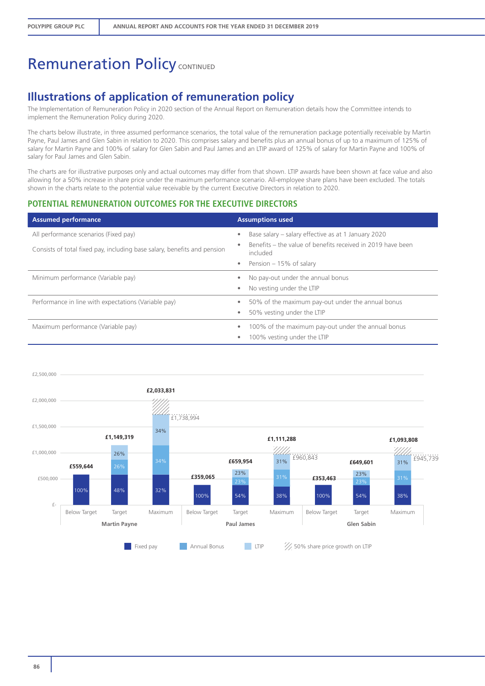## **Illustrations of application of remuneration policy**

The Implementation of Remuneration Policy in 2020 section of the Annual Report on Remuneration details how the Committee intends to implement the Remuneration Policy during 2020.

The charts below illustrate, in three assumed performance scenarios, the total value of the remuneration package potentially receivable by Martin Payne, Paul James and Glen Sabin in relation to 2020. This comprises salary and benefits plus an annual bonus of up to a maximum of 125% of salary for Martin Payne and 100% of salary for Glen Sabin and Paul James and an LTIP award of 125% of salary for Martin Payne and 100% of salary for Paul James and Glen Sabin.

The charts are for illustrative purposes only and actual outcomes may differ from that shown. LTIP awards have been shown at face value and also allowing for a 50% increase in share price under the maximum performance scenario. All-employee share plans have been excluded. The totals shown in the charts relate to the potential value receivable by the current Executive Directors in relation to 2020.

#### **POTENTIAL REMUNERATION OUTCOMES FOR THE EXECUTIVE DIRECTORS**

| <b>Assumed performance</b>                                                                                        | <b>Assumptions used</b>                                                                                                                                           |
|-------------------------------------------------------------------------------------------------------------------|-------------------------------------------------------------------------------------------------------------------------------------------------------------------|
| All performance scenarios (Fixed pay)<br>Consists of total fixed pay, including base salary, benefits and pension | Base salary – salary effective as at 1 January 2020<br>۰<br>Benefits – the value of benefits received in 2019 have been<br>included<br>• Pension $-15%$ of salary |
| Minimum performance (Variable pay)                                                                                | No pay-out under the annual bonus<br>۰<br>No vesting under the LTIP                                                                                               |
| Performance in line with expectations (Variable pay)                                                              | 50% of the maximum pay-out under the annual bonus<br>50% vesting under the LTIP<br>۰                                                                              |
| Maximum performance (Variable pay)                                                                                | 100% of the maximum pay-out under the annual bonus<br>100% vesting under the LTIP                                                                                 |

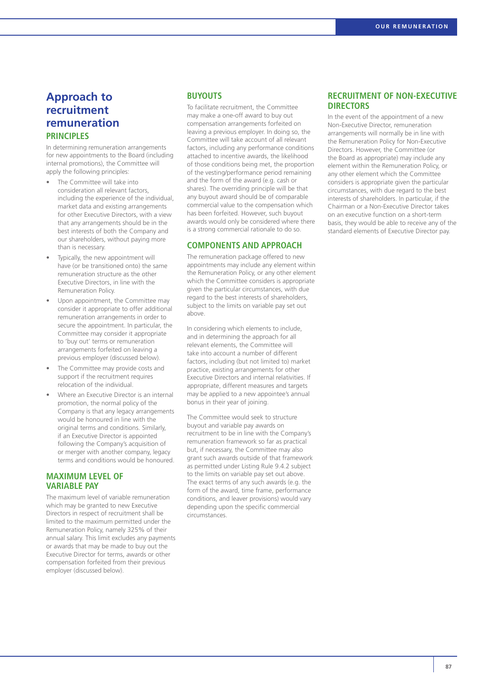### **Approach to recruitment remuneration PRINCIPLES**

In determining remuneration arrangements for new appointments to the Board (including internal promotions), the Committee will apply the following principles:

- The Committee will take into consideration all relevant factors, including the experience of the individual, market data and existing arrangements for other Executive Directors, with a view that any arrangements should be in the best interests of both the Company and our shareholders, without paying more than is necessary.
- Typically, the new appointment will have (or be transitioned onto) the same remuneration structure as the other Executive Directors, in line with the Remuneration Policy.
- Upon appointment, the Committee may consider it appropriate to offer additional remuneration arrangements in order to secure the appointment. In particular, the Committee may consider it appropriate to 'buy out' terms or remuneration arrangements forfeited on leaving a previous employer (discussed below).
- The Committee may provide costs and support if the recruitment requires relocation of the individual.
- Where an Executive Director is an internal promotion, the normal policy of the Company is that any legacy arrangements would be honoured in line with the original terms and conditions. Similarly, if an Executive Director is appointed following the Company's acquisition of or merger with another company, legacy terms and conditions would be honoured.

#### **MAXIMUM LEVEL OF VARIABLE PAY**

The maximum level of variable remuneration which may be granted to new Executive Directors in respect of recruitment shall be limited to the maximum permitted under the Remuneration Policy, namely 325% of their annual salary. This limit excludes any payments or awards that may be made to buy out the Executive Director for terms, awards or other compensation forfeited from their previous employer (discussed below).

#### **BUYOUTS**

To facilitate recruitment, the Committee may make a one-off award to buy out compensation arrangements forfeited on leaving a previous employer. In doing so, the Committee will take account of all relevant factors, including any performance conditions attached to incentive awards, the likelihood of those conditions being met, the proportion of the vesting/performance period remaining and the form of the award (e.g. cash or shares). The overriding principle will be that any buyout award should be of comparable commercial value to the compensation which has been forfeited. However, such buyout awards would only be considered where there is a strong commercial rationale to do so.

#### **COMPONENTS AND APPROACH**

The remuneration package offered to new appointments may include any element within the Remuneration Policy, or any other element which the Committee considers is appropriate given the particular circumstances, with due regard to the best interests of shareholders, subject to the limits on variable pay set out above.

In considering which elements to include, and in determining the approach for all relevant elements, the Committee will take into account a number of different factors, including (but not limited to) market practice, existing arrangements for other Executive Directors and internal relativities. If appropriate, different measures and targets may be applied to a new appointee's annual bonus in their year of joining.

The Committee would seek to structure buyout and variable pay awards on recruitment to be in line with the Company's remuneration framework so far as practical but, if necessary, the Committee may also grant such awards outside of that framework as permitted under Listing Rule 9.4.2 subject to the limits on variable pay set out above. The exact terms of any such awards (e.g. the form of the award, time frame, performance conditions, and leaver provisions) would vary depending upon the specific commercial circumstances.

#### **RECRUITMENT OF NON-EXECUTIVE DIRECTORS**

In the event of the appointment of a new Non-Executive Director, remuneration arrangements will normally be in line with the Remuneration Policy for Non-Executive Directors. However, the Committee (or the Board as appropriate) may include any element within the Remuneration Policy, or any other element which the Committee considers is appropriate given the particular circumstances, with due regard to the best interests of shareholders. In particular, if the Chairman or a Non-Executive Director takes on an executive function on a short-term basis, they would be able to receive any of the standard elements of Executive Director pay.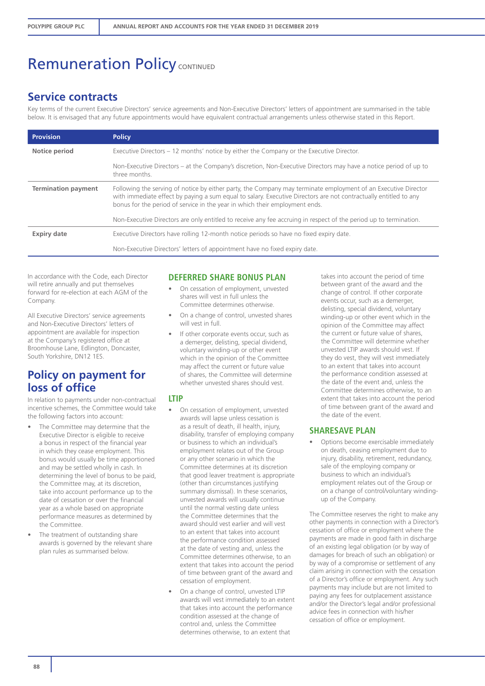### **Service contracts**

Key terms of the current Executive Directors' service agreements and Non-Executive Directors' letters of appointment are summarised in the table below. It is envisaged that any future appointments would have equivalent contractual arrangements unless otherwise stated in this Report.

| <b>Provision</b>           | <b>Policy</b>                                                                                                                                                                                                                                                                                                     |
|----------------------------|-------------------------------------------------------------------------------------------------------------------------------------------------------------------------------------------------------------------------------------------------------------------------------------------------------------------|
| Notice period              | Executive Directors – 12 months' notice by either the Company or the Executive Director.                                                                                                                                                                                                                          |
|                            | Non-Executive Directors – at the Company's discretion, Non-Executive Directors may have a notice period of up to<br>three months.                                                                                                                                                                                 |
| <b>Termination payment</b> | Following the serving of notice by either party, the Company may terminate employment of an Executive Director<br>with immediate effect by paying a sum equal to salary. Executive Directors are not contractually entitled to any<br>bonus for the period of service in the year in which their employment ends. |
|                            | Non-Executive Directors are only entitled to receive any fee accruing in respect of the period up to termination.                                                                                                                                                                                                 |
| <b>Expiry date</b>         | Executive Directors have rolling 12-month notice periods so have no fixed expiry date.                                                                                                                                                                                                                            |
|                            | Non-Executive Directors' letters of appointment have no fixed expiry date.                                                                                                                                                                                                                                        |

In accordance with the Code, each Director will retire annually and put themselves forward for re-election at each AGM of the Company.

All Executive Directors' service agreements and Non-Executive Directors' letters of appointment are available for inspection at the Company's registered office at Broomhouse Lane, Edlington, Doncaster, South Yorkshire, DN12 1ES.

## **Policy on payment for loss of office**

In relation to payments under non-contractual incentive schemes, the Committee would take the following factors into account:

- The Committee may determine that the Executive Director is eligible to receive a bonus in respect of the financial year in which they cease employment. This bonus would usually be time apportioned and may be settled wholly in cash. In determining the level of bonus to be paid, the Committee may, at its discretion, take into account performance up to the date of cessation or over the financial year as a whole based on appropriate performance measures as determined by the Committee.
- The treatment of outstanding share awards is governed by the relevant share plan rules as summarised below.

#### **DEFERRED SHARE BONUS PLAN**

- On cessation of employment, unvested shares will vest in full unless the Committee determines otherwise.
- On a change of control, unvested shares will vest in full.
- If other corporate events occur, such as a demerger, delisting, special dividend, voluntary winding-up or other event which in the opinion of the Committee may affect the current or future value of shares, the Committee will determine whether unvested shares should vest.

#### **LTIP**

- On cessation of employment, unvested awards will lapse unless cessation is as a result of death, ill health, injury, disability, transfer of employing company or business to which an individual's employment relates out of the Group or any other scenario in which the Committee determines at its discretion that good leaver treatment is appropriate (other than circumstances justifying summary dismissal). In these scenarios, unvested awards will usually continue until the normal vesting date unless the Committee determines that the award should vest earlier and will vest to an extent that takes into account the performance condition assessed at the date of vesting and, unless the Committee determines otherwise, to an extent that takes into account the period of time between grant of the award and cessation of employment.
- On a change of control, unvested LTIP awards will vest immediately to an extent that takes into account the performance condition assessed at the change of control and, unless the Committee determines otherwise, to an extent that

takes into account the period of time between grant of the award and the change of control. If other corporate events occur, such as a demerger, delisting, special dividend, voluntary winding-up or other event which in the opinion of the Committee may affect the current or future value of shares, the Committee will determine whether unvested LTIP awards should vest. If they do vest, they will vest immediately to an extent that takes into account the performance condition assessed at the date of the event and, unless the Committee determines otherwise, to an extent that takes into account the period of time between grant of the award and the date of the event.

#### **SHARESAVE PLAN**

• Options become exercisable immediately on death, ceasing employment due to injury, disability, retirement, redundancy, sale of the employing company or business to which an individual's employment relates out of the Group or on a change of control/voluntary windingup of the Company.

The Committee reserves the right to make any other payments in connection with a Director's cessation of office or employment where the payments are made in good faith in discharge of an existing legal obligation (or by way of damages for breach of such an obligation) or by way of a compromise or settlement of any claim arising in connection with the cessation of a Director's office or employment. Any such payments may include but are not limited to paying any fees for outplacement assistance and/or the Director's legal and/or professional advice fees in connection with his/her cessation of office or employment.